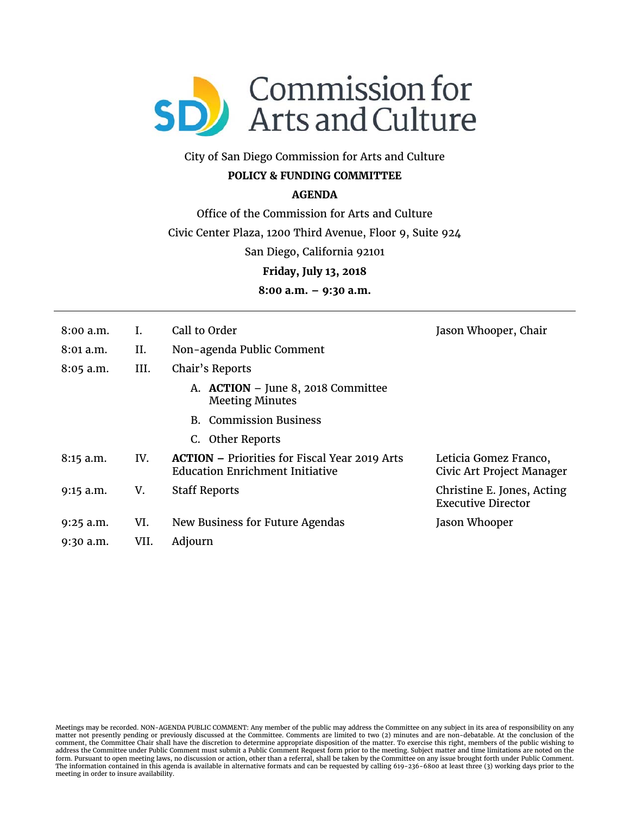

# City of San Diego Commission for Arts and Culture

### **POLICY & FUNDING COMMITTEE**

#### **AGENDA**

Office of the Commission for Arts and Culture

Civic Center Plaza, 1200 Third Avenue, Floor 9, Suite 924

San Diego, California 92101

**Friday, July 13, 2018** 

**8:00 a.m. – 9:30 a.m.** 

| 8:00a.m.    |      | Call to Order                                                                                  | Jason Whooper, Chair                                    |
|-------------|------|------------------------------------------------------------------------------------------------|---------------------------------------------------------|
| 8:01 a.m.   | Η.   | Non-agenda Public Comment                                                                      |                                                         |
| $8:05$ a.m. | III. | Chair's Reports                                                                                |                                                         |
|             |      | A. ACTION - June 8, 2018 Committee<br><b>Meeting Minutes</b>                                   |                                                         |
|             |      | <b>B.</b> Commission Business                                                                  |                                                         |
|             |      | C. Other Reports                                                                               |                                                         |
| $8:15$ a.m. | IV.  | <b>ACTION – Priorities for Fiscal Year 2019 Arts</b><br><b>Education Enrichment Initiative</b> | Leticia Gomez Franco,<br>Civic Art Project Manager      |
| $9:15$ a.m. | V.   | <b>Staff Reports</b>                                                                           | Christine E. Jones, Acting<br><b>Executive Director</b> |
| $9:25$ a.m. | VI.  | New Business for Future Agendas                                                                | Jason Whooper                                           |
| $9:30$ a.m. | VII. | Adjourn                                                                                        |                                                         |

Meetings may be recorded. NON-AGENDA PUBLIC COMMENT: Any member of the public may address the Committee on any subject in its area of responsibility on any matter not presently pending or previously discussed at the Committee. Comments are limited to two (2) minutes and are non-debatable. At the conclusion of the comment, the Committee Chair shall have the discretion to determine appropriate disposition of the matter. To exercise this right, members of the public wishing to<br>address the Committee under Public Comment must submit a P The information contained in this agenda is available in alternative formats and can be requested by calling 619-236-6800 at least three (3) working days prior to the meeting in order to insure availability.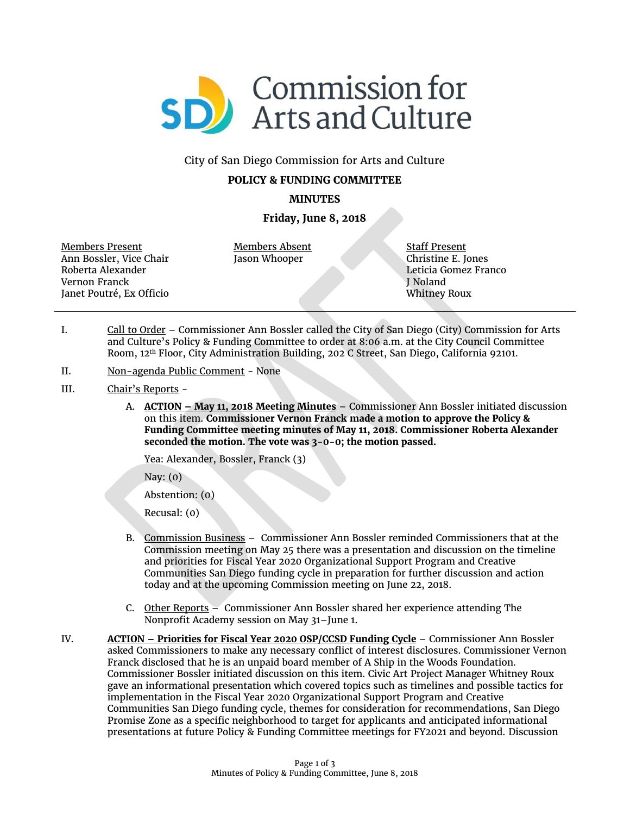

#### City of San Diego Commission for Arts and Culture

#### **POLICY & FUNDING COMMITTEE**

**MINUTES**

#### **Friday, June 8, 2018**

Members Present Ann Bossler, Vice Chair Roberta Alexander Vernon Franck Janet Poutré, Ex Officio

Members Absent Jason Whooper

Staff Present Christine E. Jones Leticia Gomez Franco J Noland Whitney Roux

- I. Call to Order Commissioner Ann Bossler called the City of San Diego (City) Commission for Arts and Culture's Policy & Funding Committee to order at 8:06 a.m. at the City Council Committee Room, 12th Floor, City Administration Building, 202 C Street, San Diego, California 92101.
- II. Non-agenda Public Comment None
- III. Chair's Reports
	- A. **ACTION – May 11, 2018 Meeting Minutes** Commissioner Ann Bossler initiated discussion on this item. **Commissioner Vernon Franck made a motion to approve the Policy & Funding Committee meeting minutes of May 11, 2018. Commissioner Roberta Alexander seconded the motion. The vote was 3-0-0; the motion passed.**

Yea: Alexander, Bossler, Franck (3)

Nay: (0)

Abstention: (0)

Recusal: (0)

- B. Commission Business Commissioner Ann Bossler reminded Commissioners that at the Commission meeting on May 25 there was a presentation and discussion on the timeline and priorities for Fiscal Year 2020 Organizational Support Program and Creative Communities San Diego funding cycle in preparation for further discussion and action today and at the upcoming Commission meeting on June 22, 2018.
- C. Other Reports Commissioner Ann Bossler shared her experience attending The Nonprofit Academy session on May 31–June 1.
- IV. **ACTION – Priorities for Fiscal Year 2020 OSP/CCSD Funding Cycle** Commissioner Ann Bossler asked Commissioners to make any necessary conflict of interest disclosures. Commissioner Vernon Franck disclosed that he is an unpaid board member of A Ship in the Woods Foundation. Commissioner Bossler initiated discussion on this item. Civic Art Project Manager Whitney Roux gave an informational presentation which covered topics such as timelines and possible tactics for implementation in the Fiscal Year 2020 Organizational Support Program and Creative Communities San Diego funding cycle, themes for consideration for recommendations, San Diego Promise Zone as a specific neighborhood to target for applicants and anticipated informational presentations at future Policy & Funding Committee meetings for FY2021 and beyond. Discussion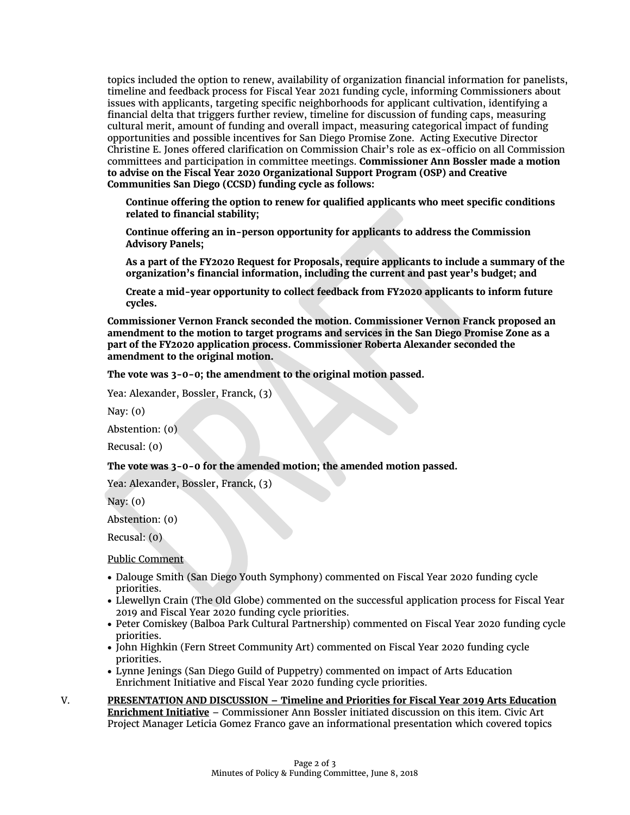topics included the option to renew, availability of organization financial information for panelists, timeline and feedback process for Fiscal Year 2021 funding cycle, informing Commissioners about issues with applicants, targeting specific neighborhoods for applicant cultivation, identifying a financial delta that triggers further review, timeline for discussion of funding caps, measuring cultural merit, amount of funding and overall impact, measuring categorical impact of funding opportunities and possible incentives for San Diego Promise Zone. Acting Executive Director Christine E. Jones offered clarification on Commission Chair's role as ex-officio on all Commission committees and participation in committee meetings. **Commissioner Ann Bossler made a motion to advise on the Fiscal Year 2020 Organizational Support Program (OSP) and Creative Communities San Diego (CCSD) funding cycle as follows:**

**Continue offering the option to renew for qualified applicants who meet specific conditions related to financial stability;**

**Continue offering an in-person opportunity for applicants to address the Commission Advisory Panels;**

**As a part of the FY2020 Request for Proposals, require applicants to include a summary of the organization's financial information, including the current and past year's budget; and**

**Create a mid-year opportunity to collect feedback from FY2020 applicants to inform future cycles.**

**Commissioner Vernon Franck seconded the motion. Commissioner Vernon Franck proposed an amendment to the motion to target programs and services in the San Diego Promise Zone as a part of the FY2020 application process. Commissioner Roberta Alexander seconded the amendment to the original motion.** 

**The vote was 3-0-0; the amendment to the original motion passed.** 

Yea: Alexander, Bossler, Franck, (3)

Nay: (0)

Abstention: (0)

Recusal: (0)

#### **The vote was 3-0-0 for the amended motion; the amended motion passed.**

Yea: Alexander, Bossler, Franck, (3)

Nay: (0)

Abstention: (0)

Recusal: (0)

Public Comment

- Dalouge Smith (San Diego Youth Symphony) commented on Fiscal Year 2020 funding cycle priorities.
- Llewellyn Crain (The Old Globe) commented on the successful application process for Fiscal Year 2019 and Fiscal Year 2020 funding cycle priorities.
- Peter Comiskey (Balboa Park Cultural Partnership) commented on Fiscal Year 2020 funding cycle priorities.
- John Highkin (Fern Street Community Art) commented on Fiscal Year 2020 funding cycle priorities.
- Lynne Jenings (San Diego Guild of Puppetry) commented on impact of Arts Education Enrichment Initiative and Fiscal Year 2020 funding cycle priorities.
- V. **PRESENTATION AND DISCUSSION – Timeline and Priorities for Fiscal Year 2019 Arts Education Enrichment Initiative** – Commissioner Ann Bossler initiated discussion on this item. Civic Art Project Manager Leticia Gomez Franco gave an informational presentation which covered topics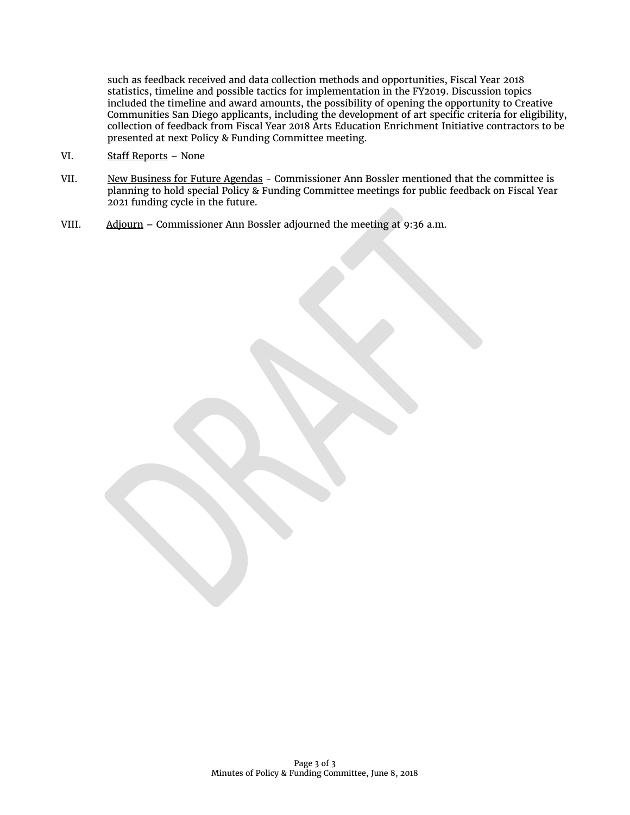such as feedback received and data collection methods and opportunities, Fiscal Year 2018 statistics, timeline and possible tactics for implementation in the FY2019. Discussion topics included the timeline and award amounts, the possibility of opening the opportunity to Creative Communities San Diego applicants, including the development of art specific criteria for eligibility, collection of feedback from Fiscal Year 2018 Arts Education Enrichment Initiative contractors to be presented at next Policy & Funding Committee meeting.

- VI. Staff Reports None
- VII. New Business for Future Agendas Commissioner Ann Bossler mentioned that the committee is planning to hold special Policy & Funding Committee meetings for public feedback on Fiscal Year 2021 funding cycle in the future.
- VIII. Adjourn Commissioner Ann Bossler adjourned the meeting at 9:36 a.m.

Page 3 of 3 Minutes of Policy & Funding Committee, June 8, 2018